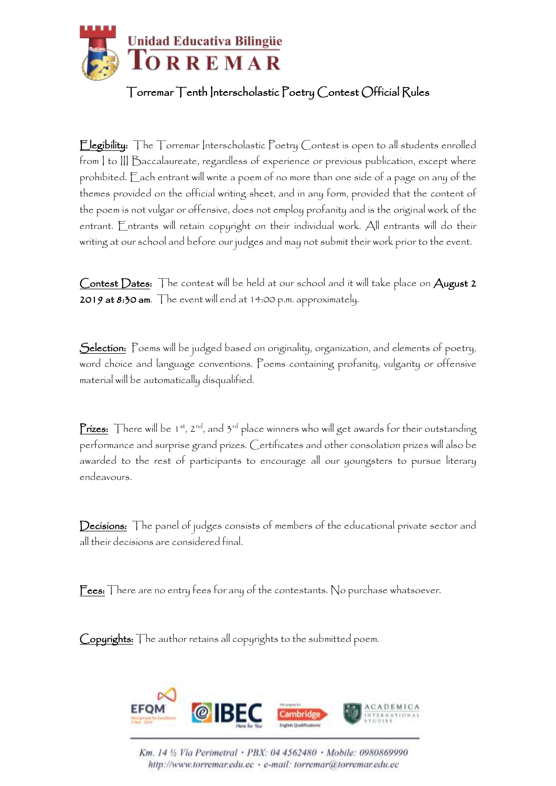

## Torremar Tenth Interscholastic Poetry Contest Official Rules

Elegibility: The Torremar Interscholastic Poetry Contest is open to all students enrolled from | to ||| Baccalaureate, regardless of experience or previous publication, except where prohibited. Each entrant will write a poem of no more than one side of a page on any of the themes provided on the official writing sheet, and in any form, provided that the content of the poem is not vulgar or offensive, does not employ profanity and is the original work of the entrant. Entrants will retain copyright on their individual work. All entrants will do their writing at our school and before our judges and may not submit their work prior to the event.

Contest Dates: The contest will be held at our school and it will take place on August 2 2019 at 8:30 am. The event will end at 14:00 p.m. approximately.

Selection: Poems will be judged based on originality, organization, and elements of poetry, word choice and language conventions. Poems containing profanity, vulgarity or offensive material will be automatically disqualified.

**Prizes:** There will be 1<sup>st</sup>, 2<sup>nd</sup>, and  $3^{rd}$  place winners who will get awards for their outstanding performance and surprise grand prizes. Certificates and other consolation prizes will also be awarded to the rest of participants to encourage all our youngsters to pursue literary endeavours.

Decisions: The panel of judges consists of members of the educational private sector and all their decisions are considered final.

Fees: There are no entry fees for any of the contestants. No purchase whatsoever.

Copyrights: The author retains all copyrights to the submitted poem.



Km. 14 1/2 Via Perimetral · PBX: 04 4562480 · Mobile: 0980869990 http://www.torremar.edu.ec · e-mail: torremar@torremar.edu.ec